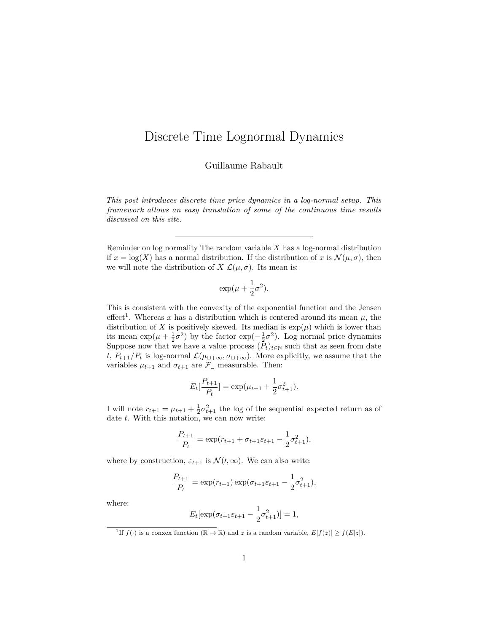## <span id="page-0-1"></span>Discrete Time Lognormal Dynamics

Guillaume Rabault

*This post introduces discrete time price dynamics in a log-normal setup. This framework allows an easy translation of some of the continuous time results discussed on this site.*

Reminder on log normality The random variable *X* has a log-normal distribution if  $x = \log(X)$  has a normal distribution. If the distribution of x is  $\mathcal{N}(\mu, \sigma)$ , then we will note the distribution of *X*  $\mathcal{L}(\mu, \sigma)$ . Its mean is:

$$
\exp(\mu + \frac{1}{2}\sigma^2).
$$

This is consistent with the convexity of the exponential function and the Jensen effect<sup>[1](#page-0-0)</sup>. Whereas x has a distribution which is centered around its mean  $\mu$ , the distribution of *X* is positively skewed. Its median is  $\exp(\mu)$  which is lower than its mean  $\exp(\mu + \frac{1}{2}\sigma^2)$  by the factor  $\exp(-\frac{1}{2}\sigma^2)$ . Log normal price dynamics Suppose now that we have a value process  $(P_t)_{t \in \mathbb{N}}$  such that as seen from date *t*,  $P_{t+1}/P_t$  is log-normal  $\mathcal{L}(\mu_{\sqcup+\infty}, \sigma_{\sqcup+\infty})$ . More explicitly, we assume that the variables  $\mu_{t+1}$  and  $\sigma_{t+1}$  are  $\mathcal{F}_{\Box}$  measurable. Then:

$$
E_t[\frac{P_{t+1}}{P_t}] = \exp(\mu_{t+1} + \frac{1}{2}\sigma_{t+1}^2).
$$

I will note  $r_{t+1} = \mu_{t+1} + \frac{1}{2}\sigma_{t+1}^2$  the log of the sequential expected return as of date *t*. With this notation, we can now write:

$$
\frac{P_{t+1}}{P_t} = \exp(r_{t+1} + \sigma_{t+1}\varepsilon_{t+1} - \frac{1}{2}\sigma_{t+1}^2),
$$

where by construction,  $\varepsilon_{t+1}$  is  $\mathcal{N}(\ell,\infty)$ . We can also write:

$$
\frac{P_{t+1}}{P_t} = \exp(r_{t+1}) \exp(\sigma_{t+1} \varepsilon_{t+1} - \frac{1}{2} \sigma_{t+1}^2),
$$

where:

$$
E_t[\exp(\sigma_{t+1}\varepsilon_{t+1} - \frac{1}{2}\sigma_{t+1}^2)] = 1,
$$

<span id="page-0-0"></span><sup>1</sup>If  $f(\cdot)$  is a conxex function  $(\mathbb{R} \to \mathbb{R})$  and *z* is a random variable,  $E[f(z)] \ge f(E[z])$ .